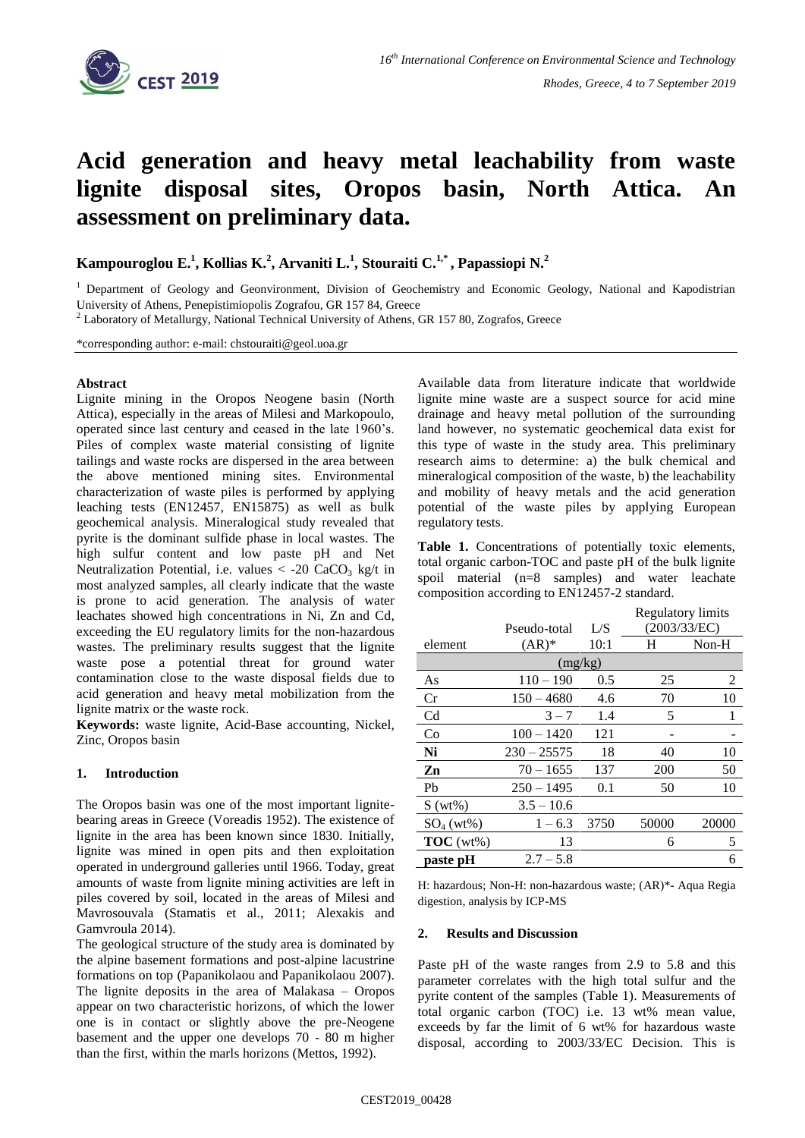

# **Acid generation and heavy metal leachability from waste lignite disposal sites, Oropos basin, North Attica. An assessment on preliminary data.**

**Kampouroglou E. 1 , Kollias K. 2 , Arvaniti L.<sup>1</sup> , Stouraiti C. 1,\* , Papassiopi N. 2** 

<sup>1</sup> Department of Geology and Geonvironment, Division of Geochemistry and Economic Geology, National and Kapodistrian University of Athens, Penepistimiopolis Zografou, GR 157 84, Greece

<sup>2</sup> Laboratory of Metallurgy, National Technical University of Athens, GR 157 80, Zografos, Greece

\*corresponding author: e-mail: chstouraiti@geol.uoa.gr

#### **Abstract**

Lignite mining in the Oropos Neogene basin (North Attica), especially in the areas of Milesi and Markopoulo, operated since last century and ceased in the late 1960's. Piles of complex waste material consisting of lignite tailings and waste rocks are dispersed in the area between the above mentioned mining sites. Environmental characterization of waste piles is performed by applying leaching tests (EN12457, EN15875) as well as bulk geochemical analysis. Mineralogical study revealed that pyrite is the dominant sulfide phase in local wastes. The high sulfur content and low paste pH and Net Neutralization Potential, i.e. values  $\langle$  -20 CaCO<sub>3</sub> kg/t in most analyzed samples, all clearly indicate that the waste is prone to acid generation. The analysis of water leachates showed high concentrations in Ni, Zn and Cd, exceeding the EU regulatory limits for the non-hazardous wastes. The preliminary results suggest that the lignite waste pose a potential threat for ground water contamination close to the waste disposal fields due to acid generation and heavy metal mobilization from the lignite matrix or the waste rock.

**Keywords:** waste lignite, Acid-Base accounting, Nickel, Zinc, Oropos basin

## **1. Introduction**

The Oropos basin was one of the most important lignitebearing areas in Greece (Voreadis 1952). The existence of lignite in the area has been known since 1830. Initially, lignite was mined in open pits and then exploitation operated in underground galleries until 1966. Today, great amounts of waste from lignite mining activities are left in piles covered by soil, located in the areas of Milesi and Mavrosouvala (Stamatis et al., 2011; Alexakis and Gamvroula 2014).

The geological structure of the study area is dominated by the alpine basement formations and post-alpine lacustrine formations on top (Papanikolaou and Papanikolaou 2007). The lignite deposits in the area of Malakasa – Oropos appear on two characteristic horizons, of which the lower one is in contact or slightly above the pre-Neogene basement and the upper one develops 70 - 80 m higher than the first, within the marls horizons (Mettos, 1992).

Available data from literature indicate that worldwide lignite mine waste are a suspect source for acid mine drainage and heavy metal pollution of the surrounding land however, no systematic geochemical data exist for this type of waste in the study area. This preliminary research aims to determine: a) the bulk chemical and mineralogical composition of the waste, b) the leachability and mobility of heavy metals and the acid generation potential of the waste piles by applying European regulatory tests.

Table 1. Concentrations of potentially toxic elements, total organic carbon-TOC and paste pH of the bulk lignite spoil material (n=8 samples) and water leachate composition according to EN12457-2 standard.

|                |               |      | <b>Regulatory limits</b> |       |
|----------------|---------------|------|--------------------------|-------|
|                | Pseudo-total  | L/S  | (2003/33/EC)             |       |
| element        | $(AR)*$       | 10:1 | H                        | Non-H |
| (mg/kg)        |               |      |                          |       |
| As             | $110 - 190$   | 0.5  | 25                       | 2     |
| Cr             | $150 - 4680$  | 4.6  | 70                       | 10    |
| C <sub>d</sub> | $3 - 7$       | 1.4  | 5                        | 1     |
| Co             | $100 - 1420$  | 121  |                          |       |
| Ni             | $230 - 25575$ | 18   | 40                       | 10    |
| Zn             | $70 - 1655$   | 137  | 200                      | 50    |
| Ph             | $250 - 1495$  | 0.1  | 50                       | 10    |
| $S(wt\%)$      | $3.5 - 10.6$  |      |                          |       |
| $SO_4(wt\%)$   | $1 - 6.3$     | 3750 | 50000                    | 20000 |
| TOC(wt%)       | 13            |      | 6                        | 5     |
| paste pH       | $2.7 - 5.8$   |      |                          | 6     |

H: hazardous; Non-H: non-hazardous waste; (AR)\*- Aqua Regia digestion, analysis by ICP-MS

#### **2. Results and Discussion**

Paste pH of the waste ranges from 2.9 to 5.8 and this parameter correlates with the high total sulfur and the pyrite content of the samples (Table 1). Measurements of total organic carbon (TOC) i.e. 13 wt% mean value, exceeds by far the limit of 6 wt% for hazardous waste disposal, according to 2003/33/EC Decision. This is